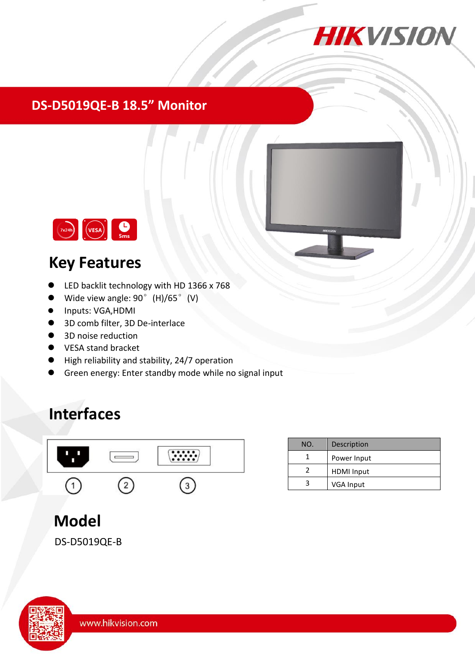

#### **DS-D5019QE-B 18.5" Monitor**



## **Key Features**

- LED backlit technology with HD 1366 x 768
- Wide view angle: 90° (H)/65° (V)
- $\bullet$  Inputs: VGA,HDMI
- 3D comb filter, 3D De-interlace
- 3D noise reduction
- **VESA stand bracket**
- High reliability and stability, 24/7 operation
- Green energy: Enter standby mode while no signal input

# **Interfaces**



| NO. | Description       |
|-----|-------------------|
|     | Power Input       |
|     | <b>HDMI</b> Input |
| R   | VGA Input         |

# **Model**

DS-D5019QE-B

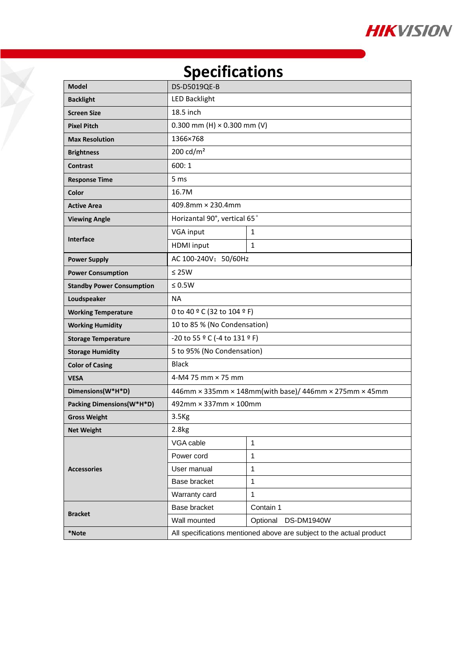

# **Specifications**

Z

| <b>Model</b>                     | DS-D5019QE-B                                                         |                        |  |
|----------------------------------|----------------------------------------------------------------------|------------------------|--|
| <b>Backlight</b>                 | <b>LED Backlight</b>                                                 |                        |  |
| <b>Screen Size</b>               | 18.5 inch                                                            |                        |  |
| <b>Pixel Pitch</b>               | 0.300 mm (H) $\times$ 0.300 mm (V)                                   |                        |  |
| <b>Max Resolution</b>            | 1366×768                                                             |                        |  |
| <b>Brightness</b>                | 200 cd/ $m2$                                                         |                        |  |
| <b>Contrast</b>                  | 600:1                                                                |                        |  |
| <b>Response Time</b>             | 5 ms                                                                 |                        |  |
| Color                            | 16.7M                                                                |                        |  |
| <b>Active Area</b>               | 409.8mm × 230.4mm                                                    |                        |  |
| <b>Viewing Angle</b>             | Horizantal 90°, vertical 65°                                         |                        |  |
|                                  | VGA input                                                            | 1                      |  |
| <b>Interface</b>                 | <b>HDMI</b> input                                                    | 1                      |  |
| <b>Power Supply</b>              | AC 100-240V; 50/60Hz                                                 |                        |  |
| <b>Power Consumption</b>         | $\leq$ 25W                                                           |                        |  |
| <b>Standby Power Consumption</b> | $\leq 0.5W$                                                          |                        |  |
| Loudspeaker                      | <b>NA</b>                                                            |                        |  |
| <b>Working Temperature</b>       | 0 to 40 ° C (32 to 104 ° F)                                          |                        |  |
| <b>Working Humidity</b>          | 10 to 85 % (No Condensation)                                         |                        |  |
| <b>Storage Temperature</b>       | -20 to 55 ° C (-4 to 131 ° F)                                        |                        |  |
| <b>Storage Humidity</b>          | 5 to 95% (No Condensation)                                           |                        |  |
| <b>Color of Casing</b>           | <b>Black</b>                                                         |                        |  |
| <b>VESA</b>                      | 4-M4 75 mm $\times$ 75 mm                                            |                        |  |
| Dimensions(W*H*D)                | 446mm × 335mm × 148mm(with base)/ 446mm × 275mm × 45mm               |                        |  |
| Packing Dimensions(W*H*D)        | 492mm × 337mm × 100mm                                                |                        |  |
| <b>Gross Weight</b>              | 3.5 <sub>kg</sub>                                                    |                        |  |
| <b>Net Weight</b>                | 2.8kg                                                                |                        |  |
|                                  | VGA cable                                                            | 1                      |  |
|                                  | Power cord                                                           | 1                      |  |
| <b>Accessories</b>               | User manual                                                          | $\mathbf{1}$           |  |
|                                  | Base bracket                                                         | $\mathbf{1}$           |  |
|                                  | Warranty card                                                        | $\mathbf{1}$           |  |
| <b>Bracket</b>                   | Base bracket                                                         | Contain 1              |  |
|                                  | Wall mounted                                                         | Optional<br>DS-DM1940W |  |
| *Note                            | All specifications mentioned above are subject to the actual product |                        |  |